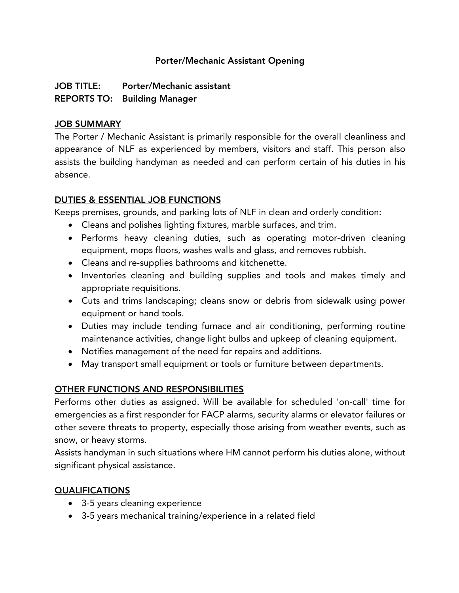## Porter/Mechanic Assistant Opening

## JOB TITLE: Porter/Mechanic assistant REPORTS TO: Building Manager

### JOB SUMMARY

The Porter / Mechanic Assistant is primarily responsible for the overall cleanliness and appearance of NLF as experienced by members, visitors and staff. This person also assists the building handyman as needed and can perform certain of his duties in his absence.

## DUTIES & ESSENTIAL JOB FUNCTIONS

Keeps premises, grounds, and parking lots of NLF in clean and orderly condition:

- Cleans and polishes lighting fixtures, marble surfaces, and trim.
- Performs heavy cleaning duties, such as operating motor-driven cleaning equipment, mops floors, washes walls and glass, and removes rubbish.
- Cleans and re-supplies bathrooms and kitchenette.
- Inventories cleaning and building supplies and tools and makes timely and appropriate requisitions.
- Cuts and trims landscaping; cleans snow or debris from sidewalk using power equipment or hand tools.
- Duties may include tending furnace and air conditioning, performing routine maintenance activities, change light bulbs and upkeep of cleaning equipment.
- Notifies management of the need for repairs and additions.
- May transport small equipment or tools or furniture between departments.

## OTHER FUNCTIONS AND RESPONSIBILITIES

Performs other duties as assigned. Will be available for scheduled 'on-call' time for emergencies as a first responder for FACP alarms, security alarms or elevator failures or other severe threats to property, especially those arising from weather events, such as snow, or heavy storms.

Assists handyman in such situations where HM cannot perform his duties alone, without significant physical assistance.

## QUALIFICATIONS

- 3-5 years cleaning experience
- 3-5 years mechanical training/experience in a related field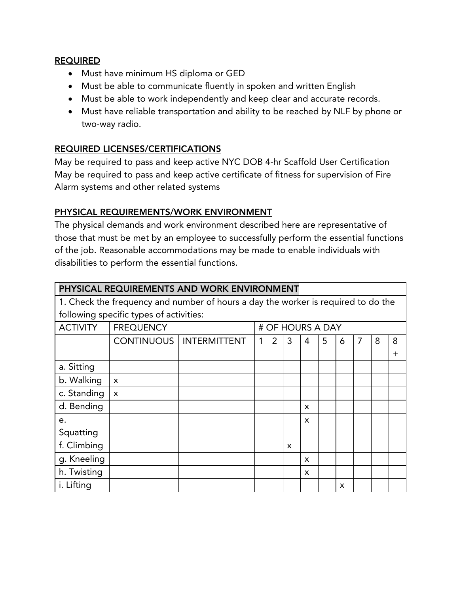#### REQUIRED

- Must have minimum HS diploma or GED
- Must be able to communicate fluently in spoken and written English
- Must be able to work independently and keep clear and accurate records.
- Must have reliable transportation and ability to be reached by NLF by phone or two-way radio.

## REQUIRED LICENSES/CERTIFICATIONS

May be required to pass and keep active NYC DOB 4-hr Scaffold User Certification May be required to pass and keep active certificate of fitness for supervision of Fire Alarm systems and other related systems

## PHYSICAL REQUIREMENTS/WORK ENVIRONMENT

The physical demands and work environment described here are representative of those that must be met by an employee to successfully perform the essential functions of the job. Reasonable accommodations may be made to enable individuals with disabilities to perform the essential functions.

| PHYSICAL REQUIREMENTS AND WORK ENVIRONMENT                                        |                           |                                  |   |                  |              |                           |   |   |   |   |          |  |
|-----------------------------------------------------------------------------------|---------------------------|----------------------------------|---|------------------|--------------|---------------------------|---|---|---|---|----------|--|
| 1. Check the frequency and number of hours a day the worker is required to do the |                           |                                  |   |                  |              |                           |   |   |   |   |          |  |
| following specific types of activities:                                           |                           |                                  |   |                  |              |                           |   |   |   |   |          |  |
| <b>ACTIVITY</b>                                                                   | <b>FREQUENCY</b>          |                                  |   | # OF HOURS A DAY |              |                           |   |   |   |   |          |  |
|                                                                                   |                           | <b>CONTINUOUS   INTERMITTENT</b> | 1 | $\overline{2}$   | 3            | 4                         | 5 | 6 | 7 | 8 | 8        |  |
|                                                                                   |                           |                                  |   |                  |              |                           |   |   |   |   | $\,{}^+$ |  |
| a. Sitting                                                                        |                           |                                  |   |                  |              |                           |   |   |   |   |          |  |
| b. Walking                                                                        | $\boldsymbol{\mathsf{x}}$ |                                  |   |                  |              |                           |   |   |   |   |          |  |
| c. Standing                                                                       | $\boldsymbol{\mathsf{x}}$ |                                  |   |                  |              |                           |   |   |   |   |          |  |
| d. Bending                                                                        |                           |                                  |   |                  |              | X                         |   |   |   |   |          |  |
| e.                                                                                |                           |                                  |   |                  |              | X                         |   |   |   |   |          |  |
| Squatting                                                                         |                           |                                  |   |                  |              |                           |   |   |   |   |          |  |
| f. Climbing                                                                       |                           |                                  |   |                  | $\mathsf{x}$ |                           |   |   |   |   |          |  |
| g. Kneeling                                                                       |                           |                                  |   |                  |              | X                         |   |   |   |   |          |  |
| h. Twisting                                                                       |                           |                                  |   |                  |              | $\boldsymbol{\mathsf{x}}$ |   |   |   |   |          |  |
| i. Lifting                                                                        |                           |                                  |   |                  |              |                           |   | x |   |   |          |  |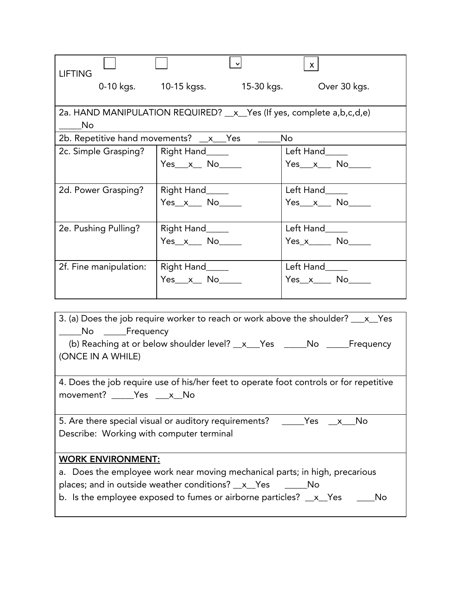|                                                                                    |                       | $\mathbf{v}$ | $\mathsf{X}^-$      |  |  |  |  |
|------------------------------------------------------------------------------------|-----------------------|--------------|---------------------|--|--|--|--|
| <b>LIFTING</b>                                                                     |                       |              |                     |  |  |  |  |
|                                                                                    | 0-10 kgs. 10-15 kgss. | 15-30 kgs.   | Over 30 kgs.        |  |  |  |  |
|                                                                                    |                       |              |                     |  |  |  |  |
| 2a. HAND MANIPULATION REQUIRED? __ x__ Yes (If yes, complete a, b, c, d, e)        |                       |              |                     |  |  |  |  |
| <b>No</b>                                                                          |                       |              |                     |  |  |  |  |
| 2b. Repetitive hand movements? __x__Yes<br>No                                      |                       |              |                     |  |  |  |  |
| 2c. Simple Grasping?                                                               | Right Hand_____       |              | Left Hand_____      |  |  |  |  |
|                                                                                    | $Yes x_N$ No $\qquad$ |              | $Yes_ x_$ No $_ x_$ |  |  |  |  |
|                                                                                    |                       |              |                     |  |  |  |  |
| 2d. Power Grasping?                                                                | Right Hand_____       |              | Left Hand_____      |  |  |  |  |
|                                                                                    | $Yes_x$ No _______    |              | $Yes_ x_ No_$       |  |  |  |  |
|                                                                                    |                       |              |                     |  |  |  |  |
| 2e. Pushing Pulling?                                                               | Right Hand_____       |              | Left Hand_____      |  |  |  |  |
|                                                                                    | $Yes_x$ No $\qquad$   |              | $Yes_x$ No          |  |  |  |  |
|                                                                                    |                       |              |                     |  |  |  |  |
| 2f. Fine manipulation:                                                             | Right Hand_____       |              | Left Hand           |  |  |  |  |
|                                                                                    | Yes x No              |              | Yes x No            |  |  |  |  |
|                                                                                    |                       |              |                     |  |  |  |  |
|                                                                                    |                       |              |                     |  |  |  |  |
| 3. (a) Does the job require worker to reach or work above the shoulder? ___ x__Yes |                       |              |                     |  |  |  |  |
| ____No ______Frequency                                                             |                       |              |                     |  |  |  |  |
| (b) Reaching at or below shoulder level? _x__Yes _____No _____Frequency            |                       |              |                     |  |  |  |  |
| (ONCE IN A WHILE)                                                                  |                       |              |                     |  |  |  |  |
|                                                                                    |                       |              |                     |  |  |  |  |

4. Does the job require use of his/her feet to operate foot controls or for repetitive movement? \_\_\_\_\_Yes \_\_\_x\_\_No

5. Are there special visual or auditory requirements? \_\_\_\_\_Yes \_\_x\_\_\_No Describe: Working with computer terminal

# WORK ENVIRONMENT:

| a. Does the employee work near moving mechanical parts; in high, precarious |       |
|-----------------------------------------------------------------------------|-------|
| places; and in outside weather conditions? _x_Yes ______No                  |       |
| b. Is the employee exposed to fumes or airborne particles? $\_\ x_$ Yes     | Mo No |